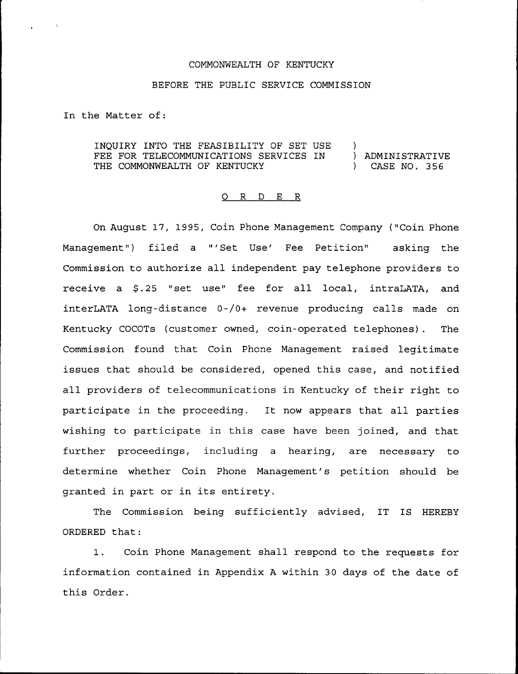### COMMONWEALTH OF KENTUCKY

#### BEFORE THE PUBLIC SERVICE COMMISSION

In the Matter of:

INQUIRY INTO THE FEASIBILITY OF SET USE )<br>FEE FOR TELECOMMUNICATIONS SERVICES IN ) ADMINISTRATIVE FEE FOR TELECOMMUNICATIONS SERVICES IN ) ADMINISTRATIVENT (THE COMMONWEALTH OF KENTUCKY THE COMMONWEALTH OF KENTUCKY (2008)

# 0 R <sup>D</sup> E R

On August 17, 1995, Coin Phone Management Company ("Coin Phone Management") filed a "'Set Use' Fee Petition" asking the Commission to authorize all independent pay telephone providers to receive a \$.25 "set use" fee for all local, intraLATA, and interLATA long-distance 0-/0+ revenue producing calls made on Kentucky COCOTs (customer owned, coin-operated telephones). The Commission found that Coin Phone Management raised legitimate issues that should be considered, opened this case, and notified all providers of telecommunications in Kentucky of their right to participate in the proceeding. It now appears that all parties wishing to participate in this case have been joined, and that further proceedings, including a hearing, are necessary to determine whether Coin Phone Management's petition should be granted in part or in its entirety.

The Commission being sufficiently advised, IT IS HEREBY ORDERED that:

1. Coin Phone Management shall respond to the requests for information contained in Appendix <sup>A</sup> within 30 days of the date of this Order.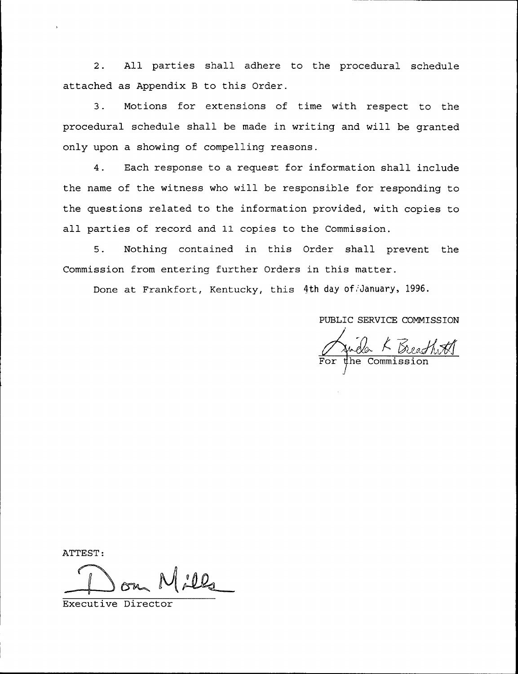2. All parties shall adhere to the procedural schedule attached as Appendix <sup>B</sup> to this Order.

3. Motions for extensions of time with respect to the procedural schedule shall be made in writing and will be granted only upon a showing of compelling reasons.

4. Each response to a request for information shall include the name of the witness who will be responsible for responding to the questions related to the information provided, with copies to all parties of record and 11 copies to the Commission.

5. Nothing contained in this Order shall prevent the Commission from entering further Orders in this matter.

Done at Frankfort, Kentucky, this 4th day of January, 1996.

PUBLIC SERVICE COMMISSION

Jula K Beath #1

ATTEST:

 $lill<sub>4</sub>$ 

Executive Director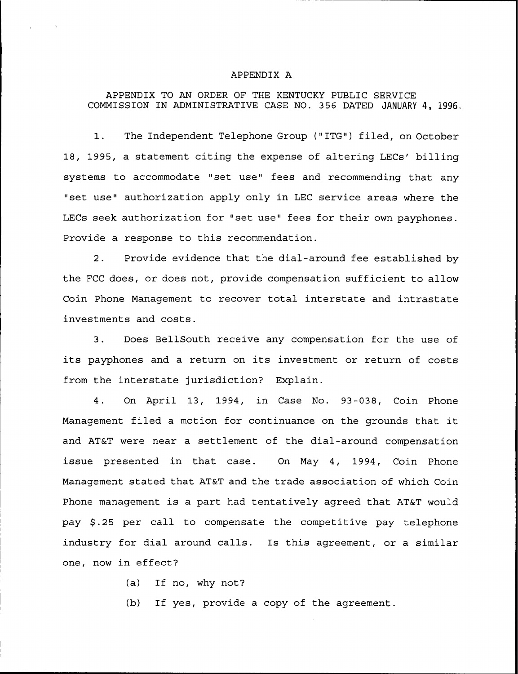## APPENDIX A

## APPENDIX TO AN ORDER OF THE KENTUCKY PUBLIC SERVICE COMMISSION IN ADMINISTRATIVE CASE NO. 356 DATED JANUARY 4, 1996.

1. The Independent Telephone Group ("ITG") filed, on October 18, 1995, a statement citing the expense of altering LECs' billing systems to accommodate "set use" fees and recommending that any "set use" authorization apply only in LEC service areas where the LECs seek authorization for "set use" fees for their own payphones. Provide a response to this recommendation.

2. Provide evidence that the dial-around fee established by the FCC does, or does not, provide compensation sufficient to allow Coin Phone Management to recover total interstate and intrastate investments and costs.

3. Does BellSouth receive any compensation for the use of its payphones and <sup>a</sup> return on its investment or return of costs from the interstate jurisdiction? Explain.

4. On April 13, 1994, in Case No. 93-Q38, Coin Phone Management filed <sup>a</sup> motion for continuance on the grounds that it and AT&T were near a settlement of the dial-around compensation issue presented in that case. On May 4, 1994, Coin Phone Management stated that AT&T and the trade association of which Coin Phone management is a part had tentatively agreed that AT&T would pay \$.25 per call to compensate the competitive pay telephone industry for dial around calls. Is this agreement, or a similar one, now in effect'?

(a) If no, why not?

(b) If yes, provide a copy of the agreement.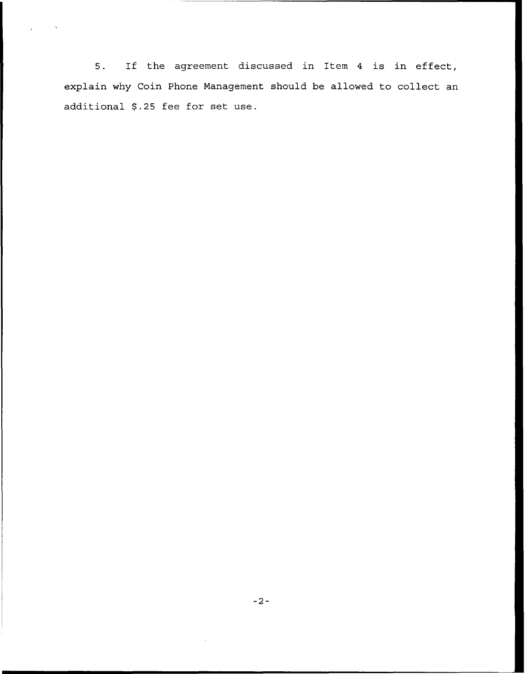$5.$ If the agreement discussed in Item <sup>4</sup> is in effect, explain why Coin Phone Management should be allowed to collect an additional S.25 fee for set use.

 $\sim$